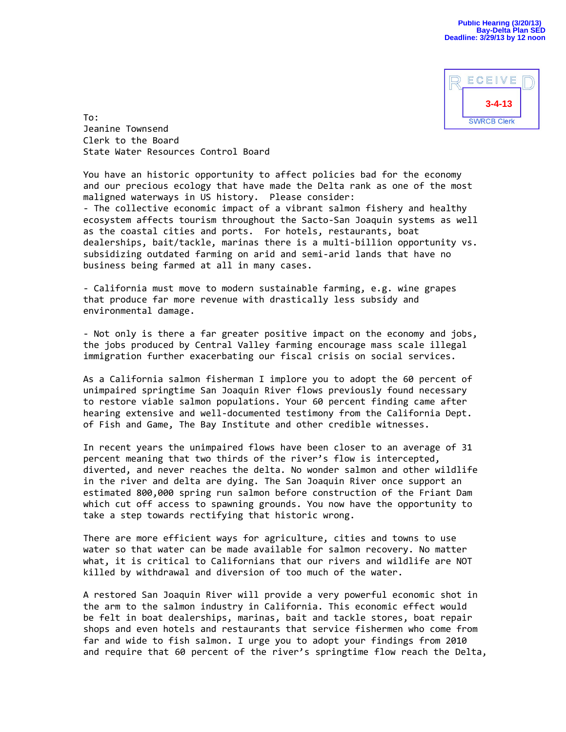

To: Jeanine Townsend Clerk to the Board State Water Resources Control Board

You have an historic opportunity to affect policies bad for the economy and our precious ecology that have made the Delta rank as one of the most maligned waterways in US history. Please consider:

- The collective economic impact of a vibrant salmon fishery and healthy ecosystem affects tourism throughout the Sacto-San Joaquin systems as well as the coastal cities and ports. For hotels, restaurants, boat dealerships, bait/tackle, marinas there is a multi-billion opportunity vs. subsidizing outdated farming on arid and semi-arid lands that have no business being farmed at all in many cases.

- California must move to modern sustainable farming, e.g. wine grapes that produce far more revenue with drastically less subsidy and environmental damage.

- Not only is there a far greater positive impact on the economy and jobs, the jobs produced by Central Valley farming encourage mass scale illegal immigration further exacerbating our fiscal crisis on social services.

As a California salmon fisherman I implore you to adopt the 60 percent of unimpaired springtime San Joaquin River flows previously found necessary to restore viable salmon populations. Your 60 percent finding came after hearing extensive and well-documented testimony from the California Dept. of Fish and Game, The Bay Institute and other credible witnesses.

In recent years the unimpaired flows have been closer to an average of 31 percent meaning that two thirds of the river's flow is intercepted, diverted, and never reaches the delta. No wonder salmon and other wildlife in the river and delta are dying. The San Joaquin River once support an estimated 800,000 spring run salmon before construction of the Friant Dam which cut off access to spawning grounds. You now have the opportunity to take a step towards rectifying that historic wrong.

There are more efficient ways for agriculture, cities and towns to use water so that water can be made available for salmon recovery. No matter what, it is critical to Californians that our rivers and wildlife are NOT killed by withdrawal and diversion of too much of the water.

A restored San Joaquin River will provide a very powerful economic shot in the arm to the salmon industry in California. This economic effect would be felt in boat dealerships, marinas, bait and tackle stores, boat repair shops and even hotels and restaurants that service fishermen who come from far and wide to fish salmon. I urge you to adopt your findings from 2010 and require that 60 percent of the river's springtime flow reach the Delta,